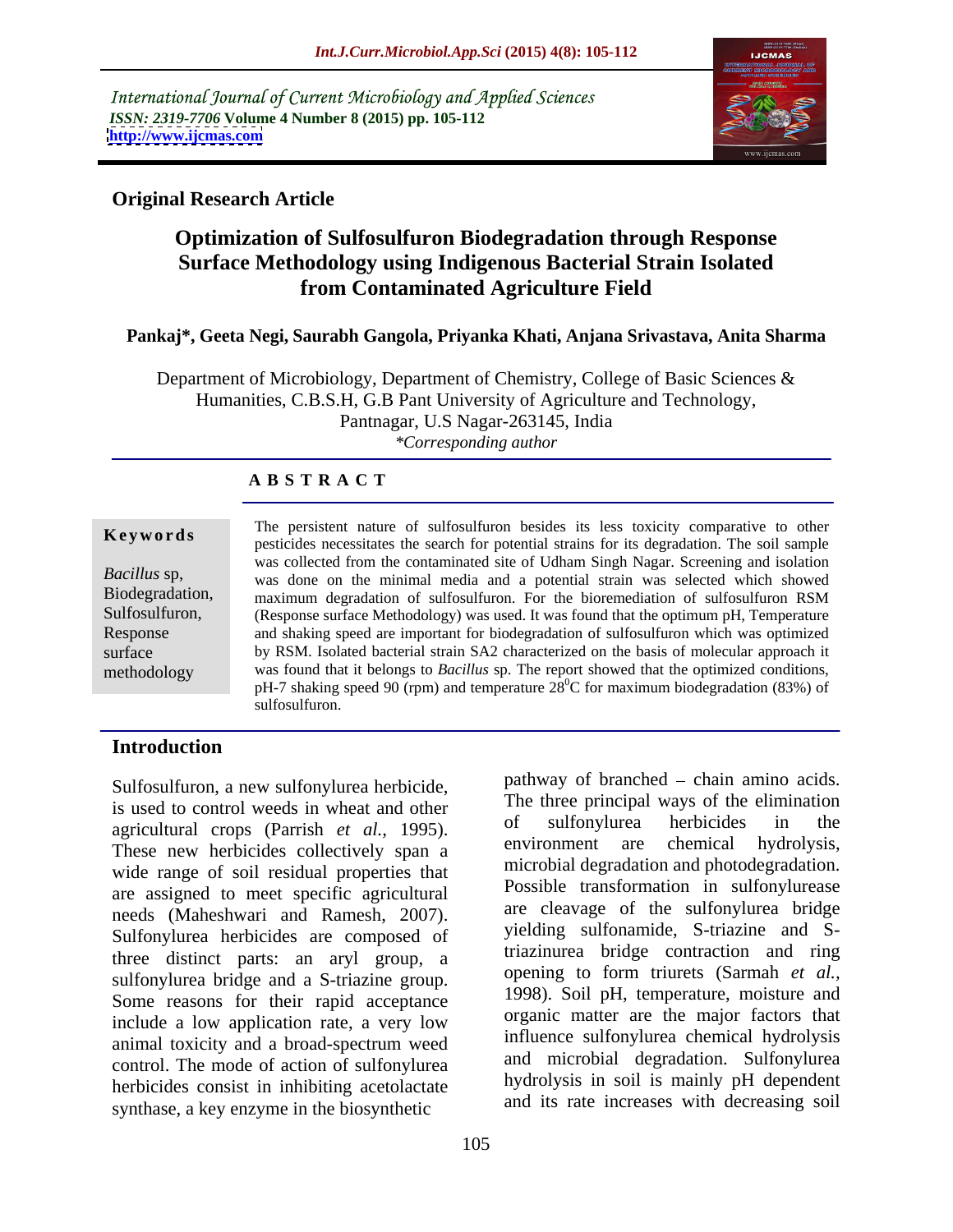International Journal of Current Microbiology and Applied Sciences *ISSN: 2319-7706* **Volume 4 Number 8 (2015) pp. 105-112 <http://www.ijcmas.com>**



## **Original Research Article**

## **Optimization of Sulfosulfuron Biodegradation through Response Surface Methodology using Indigenous Bacterial Strain Isolated from Contaminated Agriculture Field**

### **Pankaj\*, Geeta Negi, Saurabh Gangola, Priyanka Khati, Anjana Srivastava, Anita Sharma**

Department of Microbiology, Department of Chemistry, College of Basic Sciences & Humanities, C.B.S.H, G.B Pant University of Agriculture and Technology, Pantnagar, U.S Nagar-263145, India *\*Corresponding author*

## **A B S T R A C T**

methodology

The persistent nature of sulfosulfuron besides its less toxicity comparative to other **Keywords** The persistent nature of sufficient of bosition besides its less toxicity comparative to other persistent in persistent in the soil sample was collected from the contaminated site of Udham Singh Nagar. Screening and isolation Bacillus sp, was done on the minimal media and a potential strain was selected which showed maximum degradation of sulfosulfuron. For the bioremediation of sulfosulfuron RSM Biodegradation, Sulfosulfuron, (Response surface Methodology) was used. It was found that the optimum pH, Temperature and shaking speed are important for biodegradation of sulfosulfuron which was optimized Response surface by RSM. Isolated bacterial strain SA2 characterized on the basis of molecular approach it was found that it belongs to *Bacillus* sp. The report showed that the optimized conditions, pH-7 shaking speed 90 (rpm) and temperature  $28^{\circ}$ C for maximum biodegradation (83%) of  ${}^{0}C$  for maximum biodegradation (83%) of sulfosulfuron. The contract of the contract of the contract of the contract of the contract of the contract of the contract of the contract of the contract of the contract of the contract of the contract of the contract of

## **Introduction**

Sulfosulfuron, a new sulfonylurea herbicide, is used to control weeds in wheat and other<br>acceleration of sulfonylurea herbicides in the agricultural crops (Parrish *et al.*, 1995). <sup>or surfonyturea neroticles in the environment are chemical hydrolysis,</sup> These new herbicides collectively span a wide range of soil residual properties that are assigned to meet specific agricultural needs (Maheshwari and Ramesh, 2007). Sulfonylurea herbicides are composed of three distinct parts: an aryl group, a sulfonylurea bridge and a S-triazine group. Some reasons for their rapid acceptance include a low application rate, a very low animal toxicity and a broad-spectrum weed control. The mode of action of sulfonylurea herbicides consist in inhibiting acetolactate synthase, a key enzyme in the biosynthetic

pathway of branched  $-$  chain amino acids. The three principal ways of the elimination of sulfonylurea herbicides in the environment are chemical hydrolysis, microbial degradation and photodegradation. Possible transformation in sulfonylurease are cleavage of the sulfonylurea bridge yielding sulfonamide, S-triazine and Striazinurea bridge contraction and ring opening to form triurets (Sarmah *et al.,* 1998). Soil pH, temperature, moisture and organic matter are the major factors that influence sulfonylurea chemical hydrolysis and microbial degradation. Sulfonylurea hydrolysis in soil is mainly pH dependent and its rate increases with decreasing soil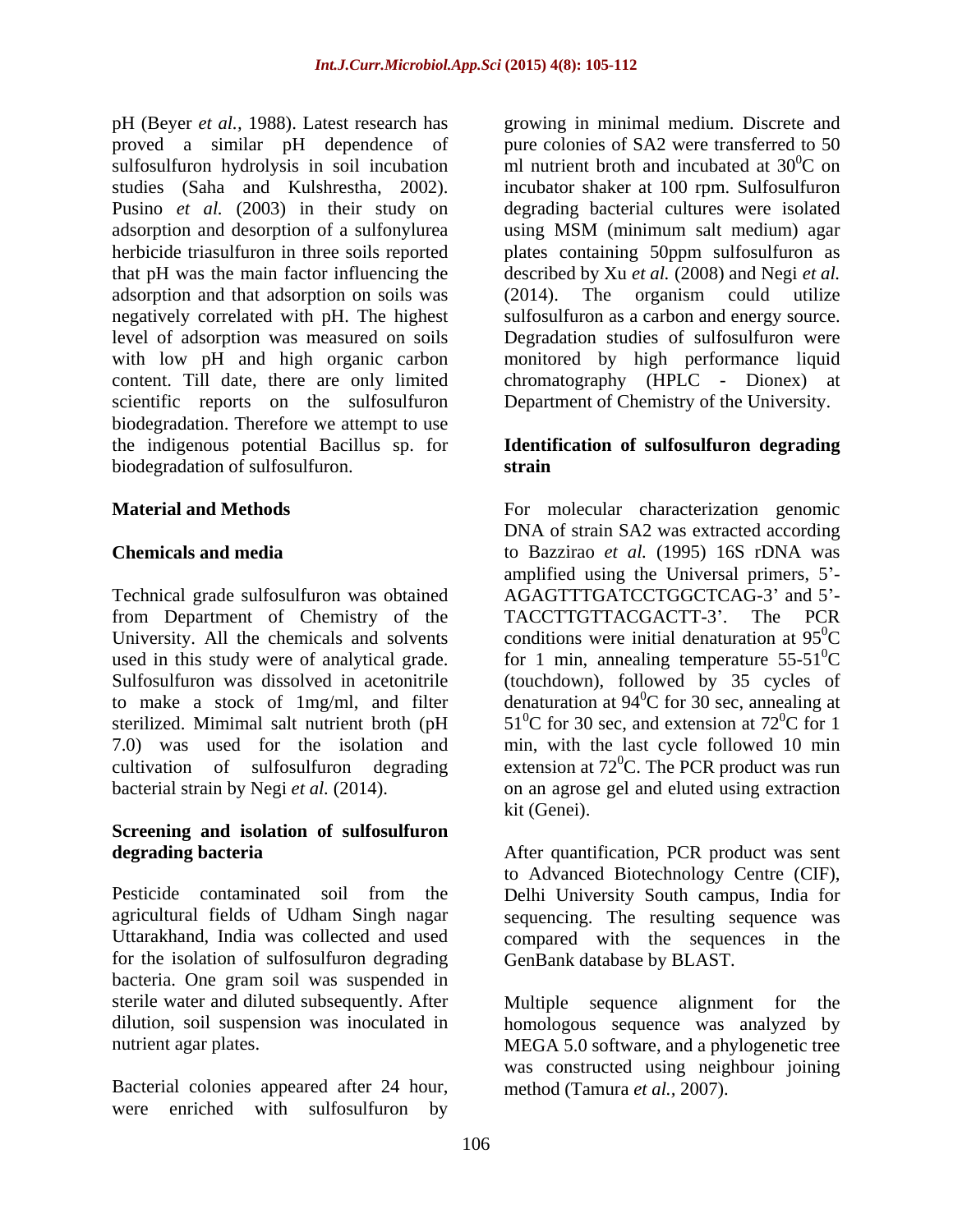pH (Beyer *et al.,* 1988). Latest research has growing in minimal medium. Discrete and proved a similar pH dependence of pure colonies of SA2 were transferred to 50 sulfosulfuron hydrolysis in soil incubation studies (Saha and Kulshrestha, 2002). Pusino *et al.* (2003) in their study on degrading bacterial cultures were isolated adsorption and desorption of a sulfonylurea herbicide triasulfuron in three soils reported plates containing 50ppm sulfosulfuron as that pH was the main factor influencing the adsorption and that adsorption on soils was (2014). The organism could utilize negatively correlated with pH. The highest sulfosulfuron as a carbon and energy source. level of adsorption was measured on soils Degradation studies of sulfosulfuron were with low pH and high organic carbon monitored by high performance liquid content. Till date, there are only limited chromatography (HPLC - Dionex) at scientific reports on the sulfosulfuron Department of Chemistry of the University. biodegradation. Therefore we attempt to use the indigenous potential Bacillus sp. for **Identification of sulfosulfuron degrading** biodegradation of sulfosulfuron. **Strain** 

Technical grade sulfosulfuron was obtained from Department of Chemistry of the TACCTTGTTACGACTT-3'. The PCR University. All the chemicals and solvents

# **Screening and isolation of sulfosulfuron**

for the isolation of sulfosulfuron degrading bacteria. One gram soil was suspended in sterile water and diluted subsequently. After Multiple sequence alignment for the dilution, soil suspension was inoculated in homologous sequence was analyzed by

Bacterial colonies appeared after 24 hour, were enriched with sulfosulfuron by ml nutrient broth and incubated at  $30^0C$  on  ${}^{0}C$  on incubator shaker at 100 rpm. Sulfosulfuron using MSM (minimum salt medium) agar described by Xu *et al.* (2008) and Negi *et al.*  (2014). The organism could utilize

# **strain**

**Material and Methods** For molecular characterization genomic **Chemicals and media**  to Bazzirao *et al.* (1995) 16S rDNA was used in this study were of analytical grade. for 1 min, annealing temperature  $55-51^0C$ Sulfosulfuron was dissolved in acetonitrile (touchdown), followed by 35 cycles of to make a stock of 1mg/ml, and filter denaturation at  $94^{\circ}$ C for 30 sec, annealing at sterilized. Mimimal salt nutrient broth (pH  $51^{\circ}$ C for 30 sec, and extension at 72 $^{\circ}$ C for 1 7.0) was used for the isolation and min, with the last cycle followed 10 min cultivation of sulfosulfuron degrading extension at  $72^0$ C. The PCR product was run bacterial strain by Negi *et al.* (2014). on an agrose gel and eluted using extraction DNA of strain SA2 was extracted according amplified using the Universal primers,  $5'$ -AGAGTTTGATCCTGGCTCAG-3' and 5'-TACCTTGTTACGACTT-3'. The PCR conditions were initial denaturation at  $95^{\circ}$ C  ${}^{0}C$  ${}^{0}C$  for 30 sec, annealing at  ${}^{0}C$  for 1 kit (Genei).

**degrading bacteria Exercise 2 After quantification, PCR product was sent** Pesticide contaminated soil from the Delhi University South campus, India for agricultural fields of Udham Singh nagar sequencing. The resulting sequence was Uttarakhand, India was collected and used compared with the sequences in the to Advanced Biotechnology Centre (CIF), GenBank database by BLAST.

nutrient agar plates. MEGA 5.0 software, and a phylogenetic tree Multiple sequence alignment for was constructed using neighbour joining method (Tamura *et al.,* 2007).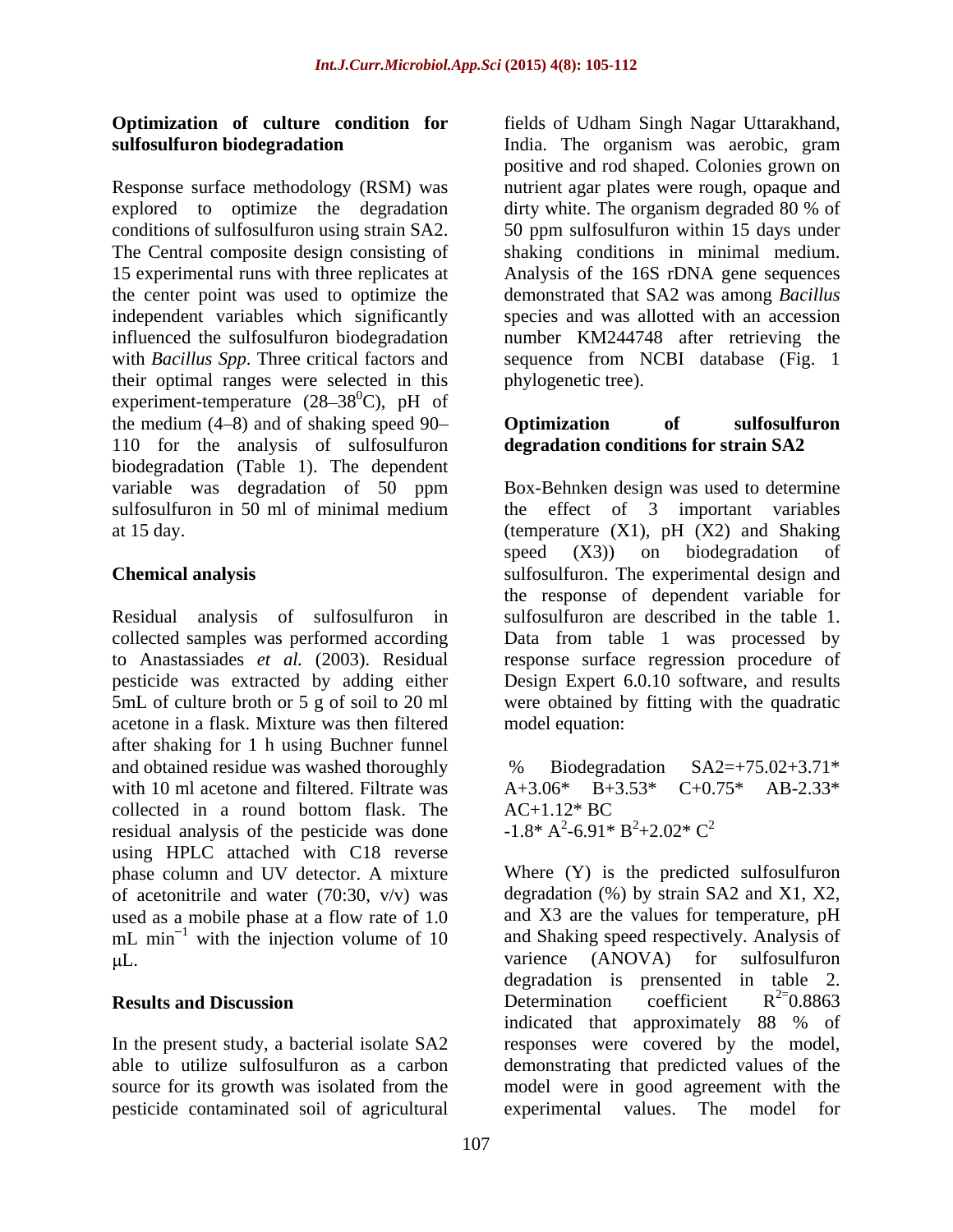Response surface methodology (RSM) was explored to optimize the degradation dirty white. The organism degraded 80 % of independent variables which significantly influenced the sulfosulfuron biodegradation their optimal ranges were selected in this experiment-temperature  $(28-38^{\circ}\text{C})$ , pH of the medium  $(4-8)$  and of shaking speed  $90-$  **Optimization** of sulfosulfuron 110 for the analysis of sulfosulfuron biodegradation (Table 1). The dependent

collected samples was performed according acetone in a flask. Mixture was then filtered after shaking for 1 h using Buchner funnel and obtained residue was washed thoroughly  $\frac{96}{20}$  Biodegradation  $SA2=+75.02+3.71*$ with 10 ml acetone and filtered. Filtrate was  $A+3.06^*$  B $+3.53^*$  C $+0.75^*$  AB-2.33<sup>\*</sup> collected in a round bottom flask. The  $AC+1.12*BC$ residual analysis of the pesticide was done using HPLC attached with C18 reverse of acetonitrile and water (70:30,  $v/v$ ) was used as a mobile phase at a flow rate of 1.0 mL  $min^{-1}$  with the injection volume of 10 and Shaking speed respectively. Analysis of  $KL$ .<br>varience (ANOVA) for sulfosulfuron

pesticide contaminated soil of agricultural

**Optimization of culture condition for** fields of Udham Singh Nagar Uttarakhand, **sulfosulfuron biodegradation** India. The organism was aerobic, gram conditions of sulfosulfuron using strain SA2. 50 ppm sulfosulfuron within 15 days under The Central composite design consisting of shaking conditions in minimal medium. 15 experimental runs with three replicates at Analysis of the 16S rDNA gene sequences the center point was used to optimize the demonstrated that SA2 was among *Bacillus* with *Bacillus Spp*. Three critical factors and sequence from NCBI database (Fig. 1 positive and rod shaped. Colonies grown on nutrient agar plates were rough, opaque and dirty white. The organism degraded 80 % of species and was allotted with an accession number KM244748 after retrieving the phylogenetic tree).

## **Optimization of sulfosulfuron degradation conditions for strain SA2**

variable was degradation of 50 ppm Box-Behnken design was used to determine sulfosulfuron in 50 ml of minimal medium the effect of 3 important variables at 15 day. (temperature (X1), pH (X2) and Shaking **Chemical analysis**  sulfosulfuron. The experimental design and Residual analysis of sulfosulfuron in sulfosulfuron are described in the table 1. to Anastassiades *et al.* (2003). Residual response surface regression procedure of pesticide was extracted by adding either Design Expert 6.0.10 software, and results 5mL of culture broth or 5 g of soil to 20 ml were obtained by fitting with the quadratic speed (X3)) on biodegradation of the response of dependent variable for Data from table 1 was processed by model equation:

> % Biodegradation SA2=+75.02+3.71\* A+3.06\* B+3.53\* C+0.75\* AB-2.33\*  $AC+1.12* BC$  $-1.8$ \* A<sup>2</sup>-6.91\* B<sup>2</sup>+2.02\* C<sup>2</sup>  $-6.91^* \text{ B}^2 + 2.02^* \text{ C}^2$

phase column and UV detector. A mixture Where (Y) is the predicted sulfosulfuron used as a mobile phase at a flow rate of 1.0 and X3 are the values for temperature, pH <sup>1</sup> with the injection volume of 10 and Shaking speed respectively. Analysis of varience (ANOVA) for **Results and Discussion Conserversion Determination** coefficient  $R^2$ <sup>-0.8863</sup> In the present study, a bacterial isolate SA2 responses were covered by the model, able to utilize sulfosulfuron as a carbon demonstrating that predicted values of the source for its growth was isolated from the model were in good agreement with the degradation (%) by strain SA2 and X1, X2, varience (ANOVA) for sulfosulfuron degradation is prensented in table 2.<br>Determination coefficient  $R^{2}=0.8863$ Determination coefficient  $R^{2}=0.8863$  $2=0.8863$ indicated that approximately 88 % of experimental values. The model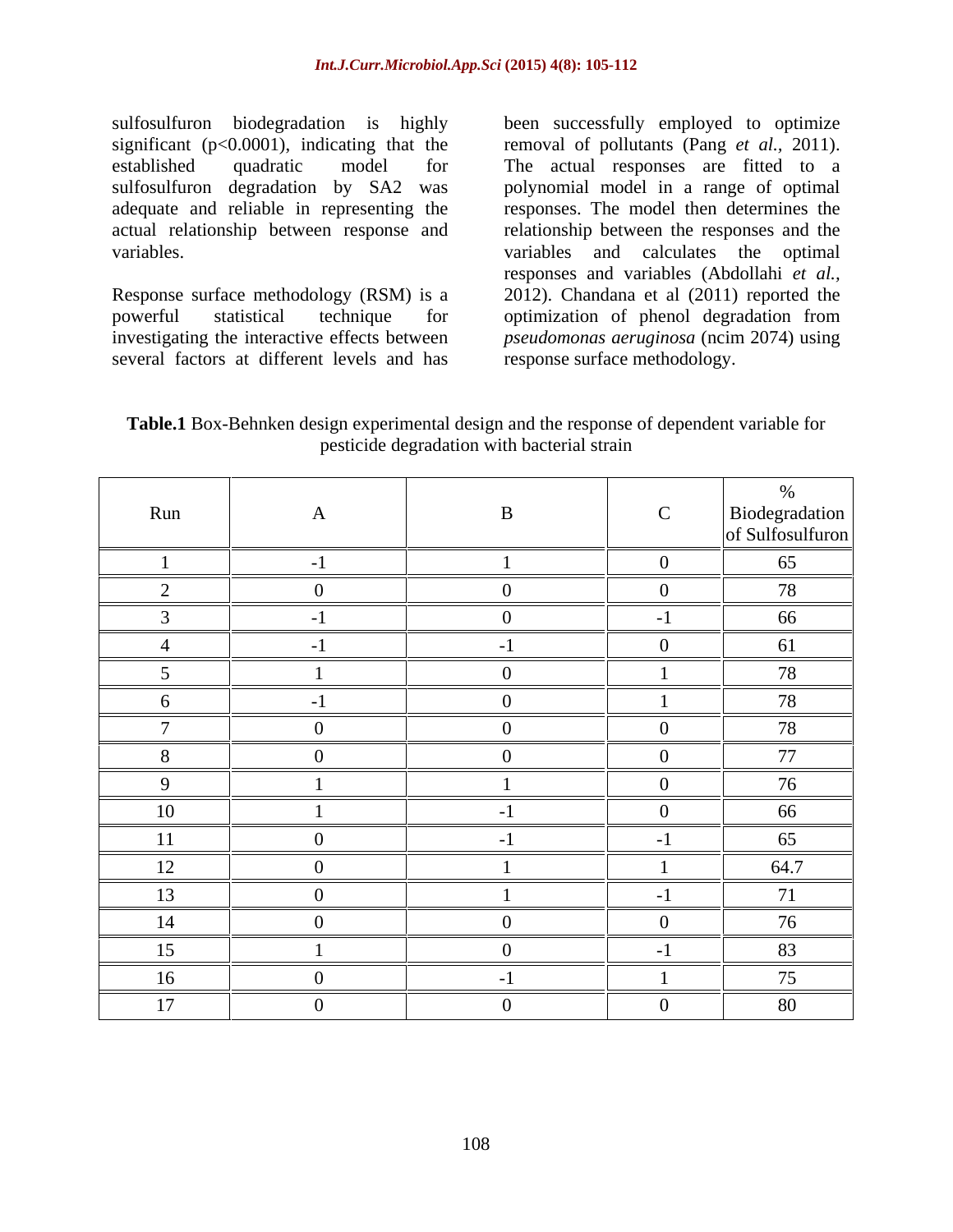sulfosulfuron biodegradation is highly been successfully employed to optimize significant (p<0.0001), indicating that the removal of pollutants (Pang *et al.,* 2011). established quadratic model for The actual responses are fitted to a sulfosulfuron degradation by SA2 was polynomial model in a range of optimal adequate and reliable in representing the responses. The model then determines the actual relationship between response and

Response surface methodology (RSM) is a 2012). Chandana et al (2011) reported the powerful statistical technique for optimization of phenol degradation from investigating the interactive effects between *pseudomonas aeruginosa* (ncim 2074) using several factors at different levels and has

variables. variables and calculates the optimal relationship between the responses and the responses and variables (Abdollahi *et al.,* response surface methodology.

**Table.1** Box-Behnken design experimental design and the response of dependent variable for pesticide degradation with bacterial strain

| Run             | $\mathbf{A}$   | $\mathbf{B}$   | $\mathbf C$             | Biodegradation<br>of Sulfosulfuron |
|-----------------|----------------|----------------|-------------------------|------------------------------------|
|                 | $-1$           |                | $\overline{\mathbf{0}}$ | 65                                 |
| $\sqrt{ }$<br>∠ | $\Omega$       | $\overline{0}$ | $\overline{0}$          | 78                                 |
| $\overline{3}$  | $-1$           | $\overline{0}$ | $-1$                    | 66                                 |
|                 | $-1$           | $-1$           | $\overline{\mathbf{0}}$ | 61                                 |
|                 |                | $\overline{0}$ |                         | 78                                 |
| 6               | $-1$           | $\overline{0}$ |                         | 78                                 |
| $\overline{ }$  | $\Omega$       | $\overline{0}$ | $\overline{0}$          | 78                                 |
| 8               |                | $\overline{0}$ | $\overline{0}$          | 77                                 |
| 9               |                |                | $\overline{\mathbf{0}}$ | 76                                 |
| 10              |                | $-1$           | $\overline{0}$          | 66                                 |
| 11              | $\overline{0}$ | $-1$           | $-1$                    | 65                                 |
| 12              | $\overline{0}$ |                |                         | 64.7                               |
| 13              | $\Omega$       |                | $-1$                    | 71                                 |
| 14              | $\Omega$       | $\overline{0}$ | $\overline{0}$          | 76                                 |
| 15              |                | $\overline{0}$ | $-1$                    | 83                                 |
| 16              | $\theta$       | $-1$           |                         | 75                                 |
| 17              | -0             | $\overline{0}$ | $\overline{0}$          | 80                                 |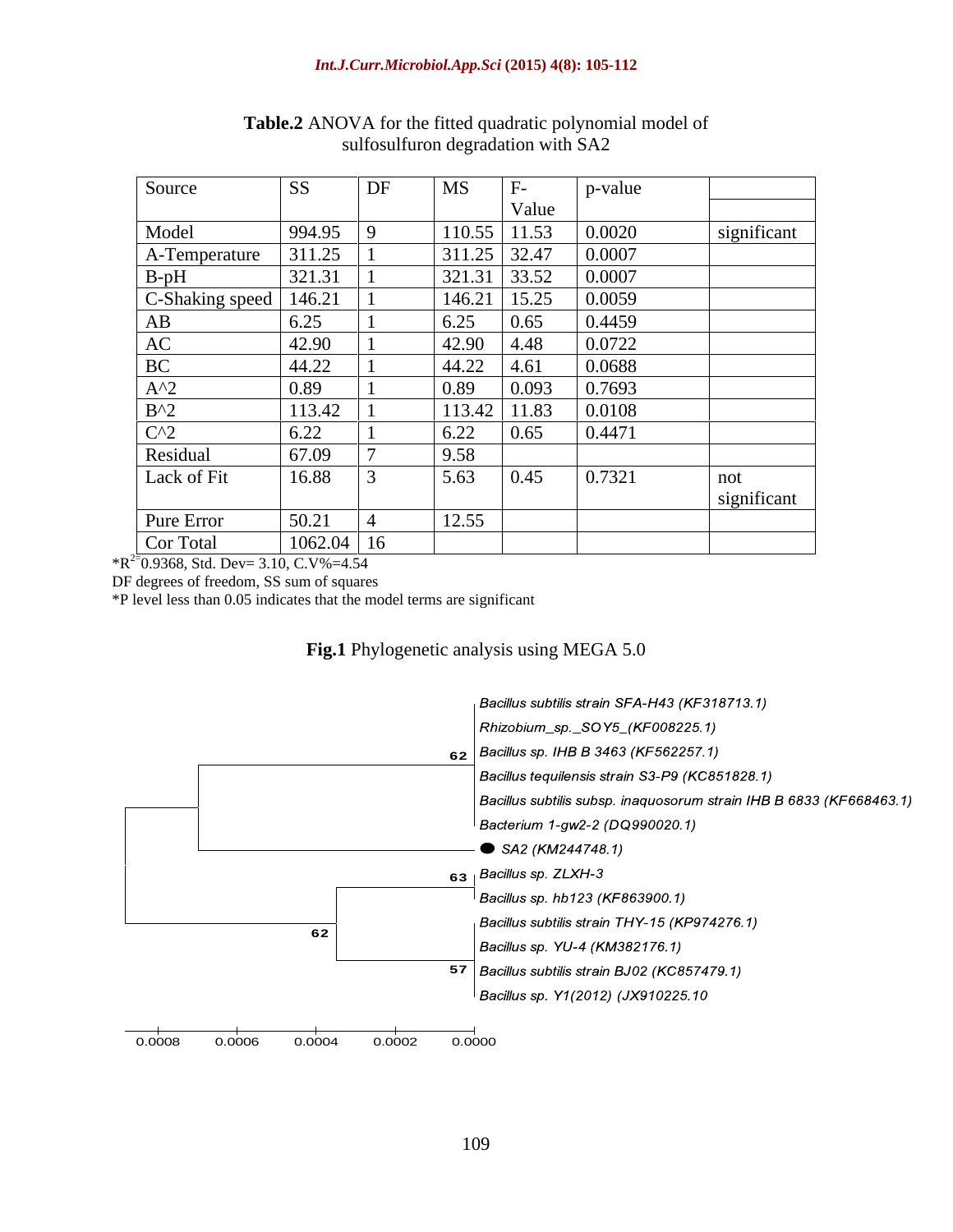| Source                  | SS           | $\vert$ DF | <b>MS</b>      | $F-$  | p-value |             |
|-------------------------|--------------|------------|----------------|-------|---------|-------------|
|                         |              |            |                | Value |         |             |
| Model                   | 994.95       |            | 110.55         | 11.53 | 0.0020  | significant |
| A-Temperature           | 311.25       |            | $311.25$ 32.47 |       | 0.0007  |             |
|                         | 321.31       |            | 321.31         | 33.52 | 0.0007  |             |
| B-pH<br>C-Shaking speed | 146.21       |            | 146.21         | 15.25 | 0.0059  |             |
| AB                      | 6.25         |            | 6.25           | 0.65  | 0.4459  |             |
| AC                      | 42.90        |            | 42.90          | 4.48  | 0.0722  |             |
| BC                      | 44.22        |            | 44.22          | 4.61  | 0.0688  |             |
| $A^2$                   | 0.89         |            | 0.89           | 0.093 | 0.7693  |             |
| $B^2$                   | 113.42       |            | 113.42         | 11.83 | 0.0108  |             |
| $C^2$                   | 6.22         |            | 6.22           | 0.65  | 0.4471  |             |
| Residual                | 67.09        |            | 9.58           |       |         |             |
| Lack of Fit             | 16.88        |            | 5.63           | 0.45  | 0.7321  | not         |
|                         |              |            |                |       |         | significant |
| Pure Error              | 50.21        |            | 12.55          |       |         |             |
| Cor Total               | $1062.04$ 16 |            |                |       |         |             |

**Table.2** ANOVA for the fitted quadratic polynomial model of sulfosulfuron degradation with SA2

 $*R^{2}$ <sup>=</sup>0.9368, Std. Dev= 3.10, C.V%=4.54

DF degrees of freedom, SS sum of squares

\*P level less than 0.05 indicates that the model terms are significant

## **Fig.1** Phylogenetic analysis using MEGA 5.0

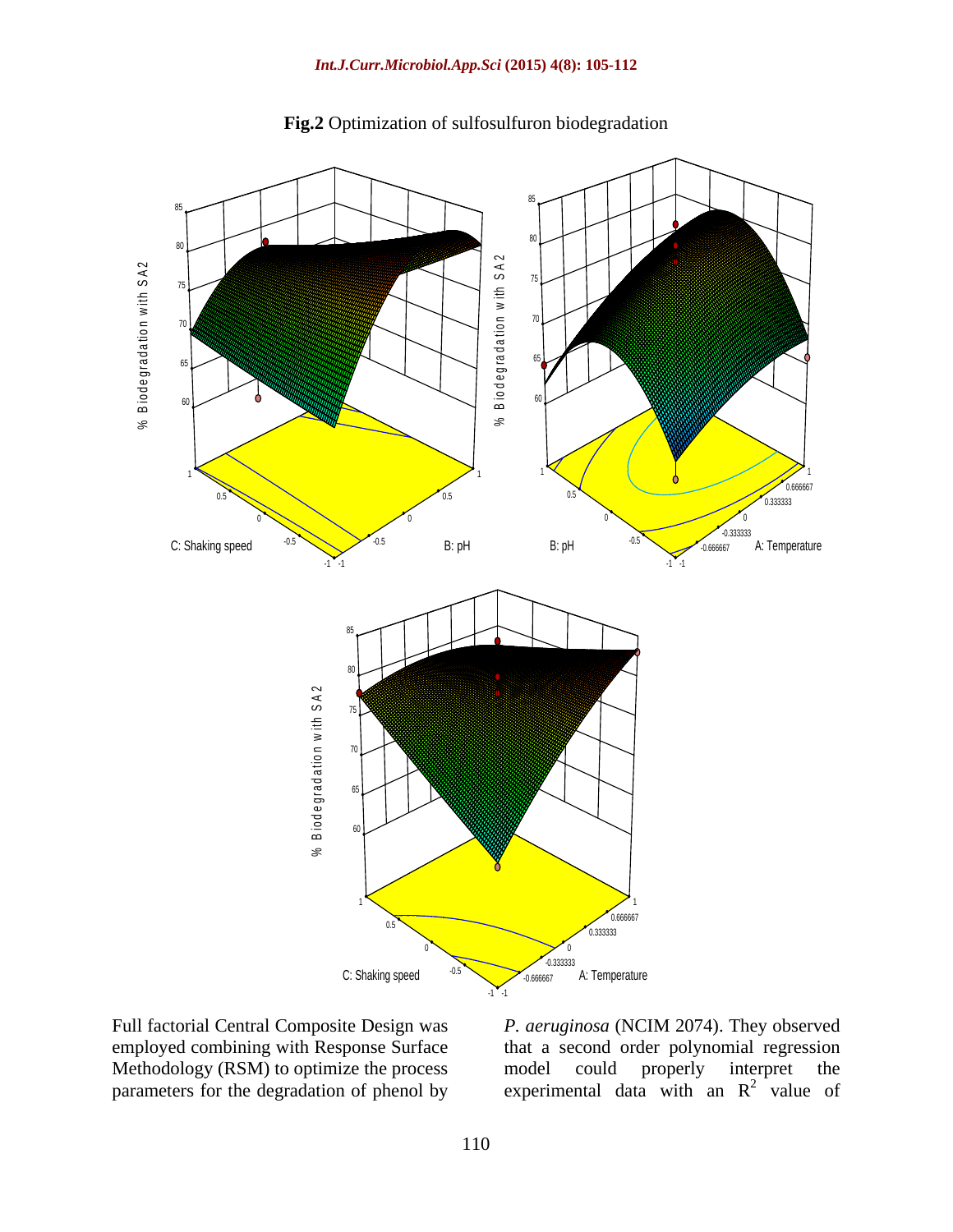

## **Fig.2** Optimization of sulfosulfuron biodegradation

Full factorial Central Composite Design was *P. aeruginosa* (NCIM 2074). They observed employed combining with Response Surface that a second order polynomial regression Methodology (RSM) to optimize the process a model could properly interpret the parameters for the degradation of phenol by experimental data with an  $R^2$  value of model could properly interpret the experimental data with an  $R^2$  value of  $^{2}$  yelve of value of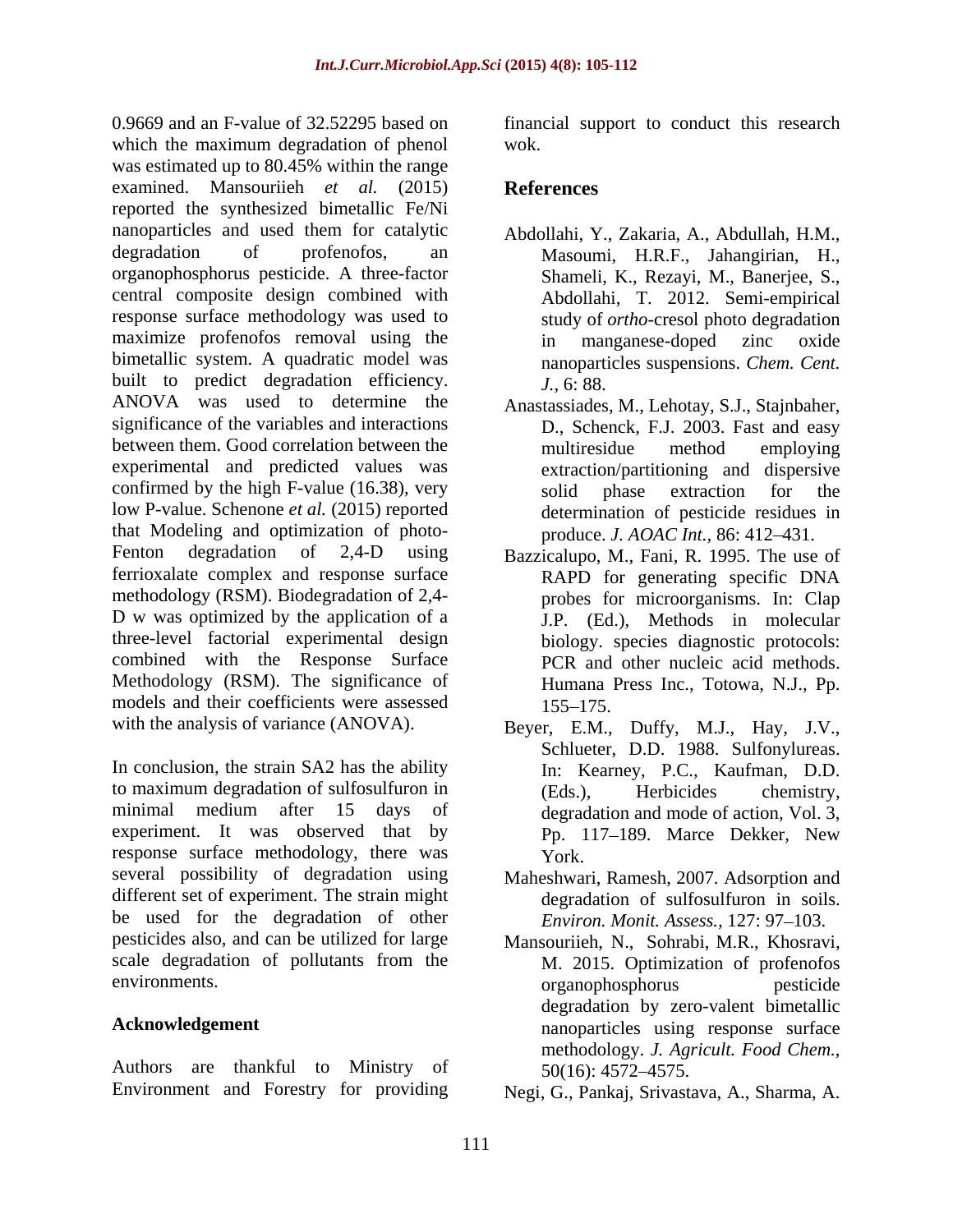0.9669 and an F-value of 32.52295 based on financial support to conduct this research which the maximum degradation of phenol wok. was estimated up to 80.45% within the range examined. Mansouriieh *et al.* (2015) reported the synthesized bimetallic Fe/Ni nanoparticles and used them for catalytic degradation of profenofos, an Masoumi, H.R.F., Jahangirian, H., organophosphorus pesticide. A three-factor central composite design combined with response surface methodology was used to maximize profenofos removal using the in manganese-doped zinc oxide bimetallic system. A quadratic model was built to predict degradation efficiency. J., 6:88. ANOVA was used to determine the Anastassiades, M., Lehotay, S.J., Stajnbaher, significance of the variables and interactions D., Schenck, F.J. 2003. Fast and easy between them. Good correlation between the multiresidue method employing experimental and predicted values was confirmed by the high F-value (16.38), very solid phase extraction for the low P-value. Schenone *et al.* (2015) reported that Modeling and optimization of photo- Fenton degradation of 2,4-D using Bazzicalupo, M., Fani, R. 1995. The use of ferrioxalate complex and response surface RAPD for generating specific DNA methodology (RSM). Biodegradation of 2,4- D w was optimized by the application of a three-level factorial experimental design combined with the Response Surface Methodology (RSM). The significance of models and their coefficients were assessed 155–175.

In conclusion, the strain SA2 has the ability In: Kearney, P.C., Kaufman, D.D. to maximum degradation of sulfosulfuron in (Eds.). Herbicides chemistry. minimal medium after 15 days of degradation and mode of action, Vol. 3, experiment. It was observed that by  $Pp$ , 117-189. Marce Dekker, New response surface methodology, there was  $\overrightarrow{Y}_{\text{or}k}$ . several possibility of degradation using Maheshwari, Ramesh, 2007. Adsorption and different set of experiment. The strain might be used for the degradation of other pesticides also, and can be utilized for large Mansouriieh, N., Sohrabi, M.R., Khosravi, scale degradation of pollutants from the

Authors are thankful to Ministry of 50(16): 4572–4575.

wok.

## **References**

- Abdollahi, Y., Zakaria, A., Abdullah, H.M., Shameli, K., Rezayi, M., Banerjee, S., Abdollahi, T. 2012. Semi-empirical study of *ortho*-cresol photo degradation in manganese-doped zinc oxide nanoparticles suspensions. *Chem. Cent. J.,* 6: 88.
- multiresidue method employing extraction/partitioning and dispersive solid phase extraction for the determination of pesticide residues in produce. *J. AOAC Int.*, 86: 412–431.
- RAPD for generating specific DNA probes for microorganisms. In: Clap J.P. (Ed.), Methods in molecular biology. species diagnostic protocols: PCR and other nucleic acid methods. Humana Press Inc., Totowa, N.J., Pp. 155 175.
- with the analysis of variance (ANOVA). Beyer, E.M., Duffy, M.J., Hay, J.V., Schlueter, D.D. 1988. Sulfonylureas. (Eds.), Herbicides chemistry, Pp. 117–189. Marce Dekker, New York.
	- degradation of sulfosulfuron in soils. *Environ. Monit. Assess.,* 127: 97–103.
- environments. Acknowledgement nanoparticles using response surface M. 2015. Optimization of profenofos organophosphorus pesticide degradation by zero-valent bimetallic methodology. *J. Agricult. Food Chem.*, 50(16): 4572 4575.
- Environment and Forestry for providing Negi, G., Pankaj, Srivastava, A., Sharma, A.